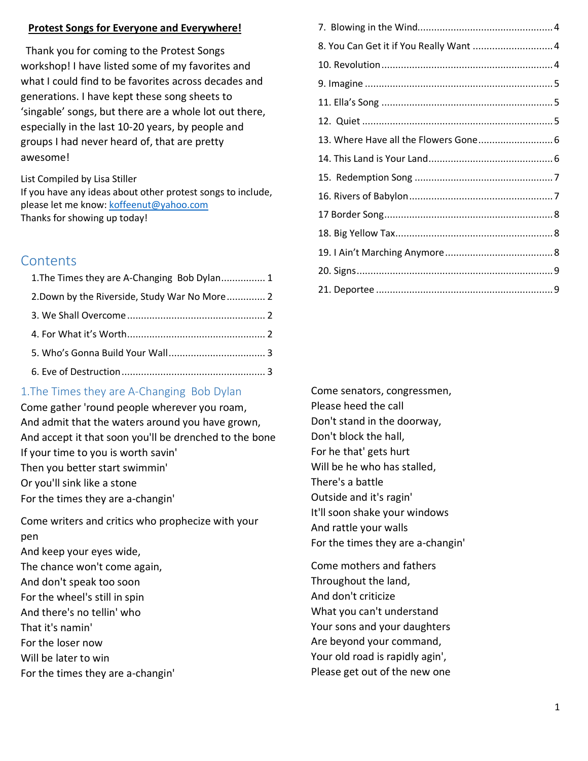### **Protest Songs for Everyone and Everywhere!**

 Thank you for coming to the Protest Songs workshop! I have listed some of my favorites and what I could find to be favorites across decades and generations. I have kept these song sheets to 'singable' songs, but there are a whole lot out there, especially in the last 10-20 years, by people and groups I had never heard of, that are pretty awesome!

List Compiled by Lisa Stiller If you have any ideas about other protest songs to include, please let me know: koffeenut@yahoo.com Thanks for showing up today!

# **Contents**

| 1. The Times they are A-Changing Bob Dylan 1  |  |
|-----------------------------------------------|--|
| 2. Down by the Riverside, Study War No More 2 |  |
|                                               |  |
|                                               |  |
|                                               |  |
|                                               |  |
|                                               |  |

## 1.The Times they are A-Changing Bob Dylan

Come gather 'round people wherever you roam, And admit that the waters around you have grown, And accept it that soon you'll be drenched to the bone If your time to you is worth savin' Then you better start swimmin' Or you'll sink like a stone For the times they are a-changin'

Come writers and critics who prophecize with your pen

And keep your eyes wide, The chance won't come again, And don't speak too soon For the wheel's still in spin And there's no tellin' who That it's namin' For the loser now Will be later to win For the times they are a-changin'

Come senators, congressmen, Please heed the call Don't stand in the doorway, Don't block the hall, For he that' gets hurt Will be he who has stalled, There's a battle Outside and it's ragin' It'll soon shake your windows And rattle your walls For the times they are a-changin' Come mothers and fathers

Throughout the land, And don't criticize What you can't understand Your sons and your daughters Are beyond your command, Your old road is rapidly agin', Please get out of the new one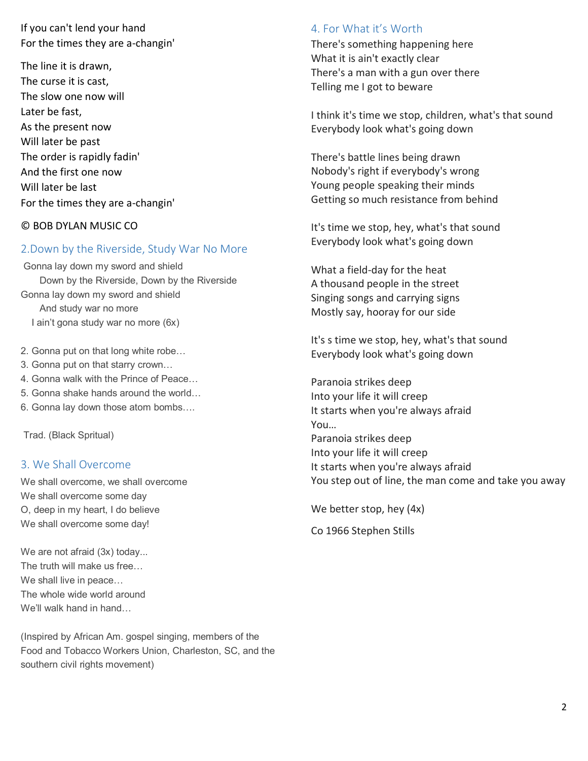If you can't lend your hand For the times they are a-changin'

The line it is drawn, The curse it is cast, The slow one now will Later be fast, As the present now Will later be past The order is rapidly fadin' And the first one now Will later be last For the times they are a-changin'

#### © BOB DYLAN MUSIC CO

### 2.Down by the Riverside, Study War No More

 Gonna lay down my sword and shield Down by the Riverside, Down by the Riverside Gonna lay down my sword and shield And study war no more I ain't gona study war no more (6x)

- 2. Gonna put on that long white robe…
- 3. Gonna put on that starry crown…
- 4. Gonna walk with the Prince of Peace…
- 5. Gonna shake hands around the world…
- 6. Gonna lay down those atom bombs….

Trad. (Black Spritual)

#### 3. We Shall Overcome

We shall overcome, we shall overcome We shall overcome some day O, deep in my heart, I do believe We shall overcome some day!

We are not afraid (3x) today... The truth will make us free… We shall live in peace... The whole wide world around We'll walk hand in hand...

(Inspired by African Am. gospel singing, members of the Food and Tobacco Workers Union, Charleston, SC, and the southern civil rights movement)

#### 4. For What it's Worth

There's something happening here What it is ain't exactly clear There's a man with a gun over there Telling me I got to beware

I think it's time we stop, children, what's that sound Everybody look what's going down

There's battle lines being drawn Nobody's right if everybody's wrong Young people speaking their minds Getting so much resistance from behind

It's time we stop, hey, what's that sound Everybody look what's going down

What a field-day for the heat A thousand people in the street Singing songs and carrying signs Mostly say, hooray for our side

It's s time we stop, hey, what's that sound Everybody look what's going down

Paranoia strikes deep Into your life it will creep It starts when you're always afraid You… Paranoia strikes deep Into your life it will creep It starts when you're always afraid You step out of line, the man come and take you away

We better stop, hey (4x)

Co 1966 Stephen Stills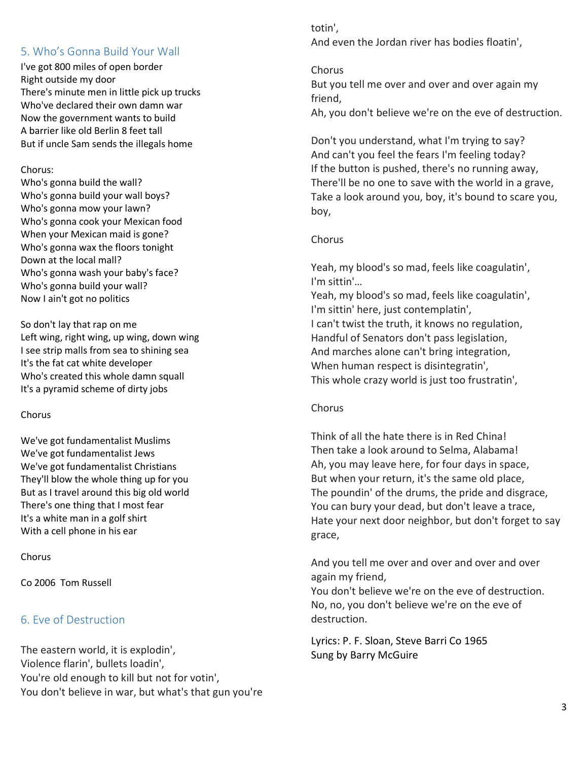### 5. Who's Gonna Build Your Wall

I've got 800 miles of open border Right outside my door There's minute men in little pick up trucks Who've declared their own damn war Now the government wants to build A barrier like old Berlin 8 feet tall But if uncle Sam sends the illegals home

#### Chorus:

Who's gonna build the wall? Who's gonna build your wall boys? Who's gonna mow your lawn? Who's gonna cook your Mexican food When your Mexican maid is gone? Who's gonna wax the floors tonight Down at the local mall? Who's gonna wash your baby's face? Who's gonna build your wall? Now I ain't got no politics

So don't lay that rap on me Left wing, right wing, up wing, down wing I see strip malls from sea to shining sea It's the fat cat white developer Who's created this whole damn squall It's a pyramid scheme of dirty jobs

#### Chorus

We've got fundamentalist Muslims We've got fundamentalist Jews We've got fundamentalist Christians They'll blow the whole thing up for you But as I travel around this big old world There's one thing that I most fear It's a white man in a golf shirt With a cell phone in his ear

Chorus

Co 2006 Tom Russell

## 6. Eve of Destruction

The eastern world, it is explodin', Violence flarin', bullets loadin', You're old enough to kill but not for votin', You don't believe in war, but what's that gun you're totin', And even the Jordan river has bodies floatin',

### **Chorus**

But you tell me over and over and over again my friend,

Ah, you don't believe we're on the eve of destruction.

Don't you understand, what I'm trying to say? And can't you feel the fears I'm feeling today? If the button is pushed, there's no running away, There'll be no one to save with the world in a grave, Take a look around you, boy, it's bound to scare you, boy,

#### **Chorus**

Yeah, my blood's so mad, feels like coagulatin', I'm sittin'… Yeah, my blood's so mad, feels like coagulatin', I'm sittin' here, just contemplatin', I can't twist the truth, it knows no regulation, Handful of Senators don't pass legislation, And marches alone can't bring integration, When human respect is disintegratin', This whole crazy world is just too frustratin',

#### Chorus

Think of all the hate there is in Red China! Then take a look around to Selma, Alabama! Ah, you may leave here, for four days in space, But when your return, it's the same old place, The poundin' of the drums, the pride and disgrace, You can bury your dead, but don't leave a trace, Hate your next door neighbor, but don't forget to say grace,

And you tell me over and over and over and over again my friend,

You don't believe we're on the eve of destruction. No, no, you don't believe we're on the eve of destruction.

Lyrics: P. F. Sloan, Steve Barri Co 1965 Sung by Barry McGuire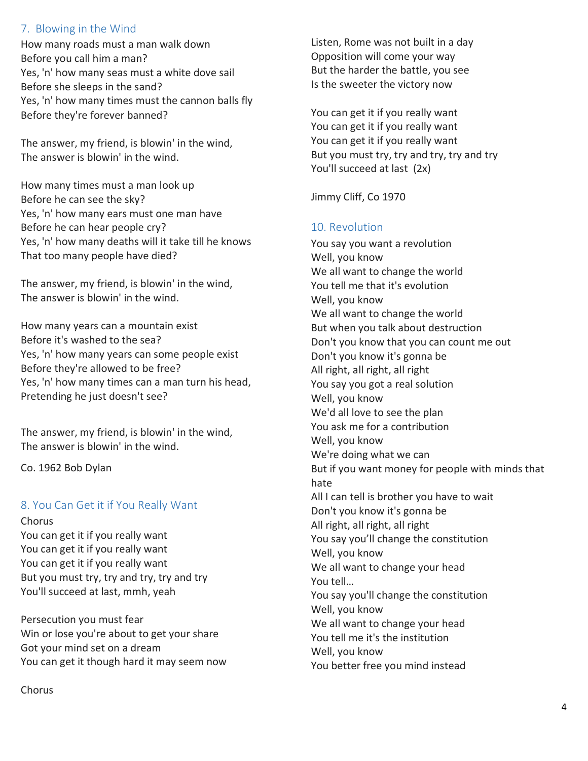### 7. Blowing in the Wind

How many roads must a man walk down Before you call him a man? Yes, 'n' how many seas must a white dove sail Before she sleeps in the sand? Yes, 'n' how many times must the cannon balls fly Before they're forever banned?

The answer, my friend, is blowin' in the wind, The answer is blowin' in the wind.

How many times must a man look up Before he can see the sky? Yes, 'n' how many ears must one man have Before he can hear people cry? Yes, 'n' how many deaths will it take till he knows That too many people have died?

The answer, my friend, is blowin' in the wind, The answer is blowin' in the wind.

How many years can a mountain exist Before it's washed to the sea? Yes, 'n' how many years can some people exist Before they're allowed to be free? Yes, 'n' how many times can a man turn his head, Pretending he just doesn't see?

The answer, my friend, is blowin' in the wind, The answer is blowin' in the wind.

Co. 1962 Bob Dylan

## 8. You Can Get it if You Really Want

Chorus

You can get it if you really want You can get it if you really want You can get it if you really want But you must try, try and try, try and try You'll succeed at last, mmh, yeah

Persecution you must fear Win or lose you're about to get your share Got your mind set on a dream You can get it though hard it may seem now Listen, Rome was not built in a day Opposition will come your way But the harder the battle, you see Is the sweeter the victory now

You can get it if you really want You can get it if you really want You can get it if you really want But you must try, try and try, try and try You'll succeed at last (2x)

Jimmy Cliff, Co 1970

# 10. Revolution

You say you want a revolution Well, you know We all want to change the world You tell me that it's evolution Well, you know We all want to change the world But when you talk about destruction Don't you know that you can count me out Don't you know it's gonna be All right, all right, all right You say you got a real solution Well, you know We'd all love to see the plan You ask me for a contribution Well, you know We're doing what we can But if you want money for people with minds that hate All I can tell is brother you have to wait Don't you know it's gonna be All right, all right, all right You say you'll change the constitution Well, you know We all want to change your head You tell… You say you'll change the constitution Well, you know We all want to change your head You tell me it's the institution Well, you know You better free you mind instead

**Chorus**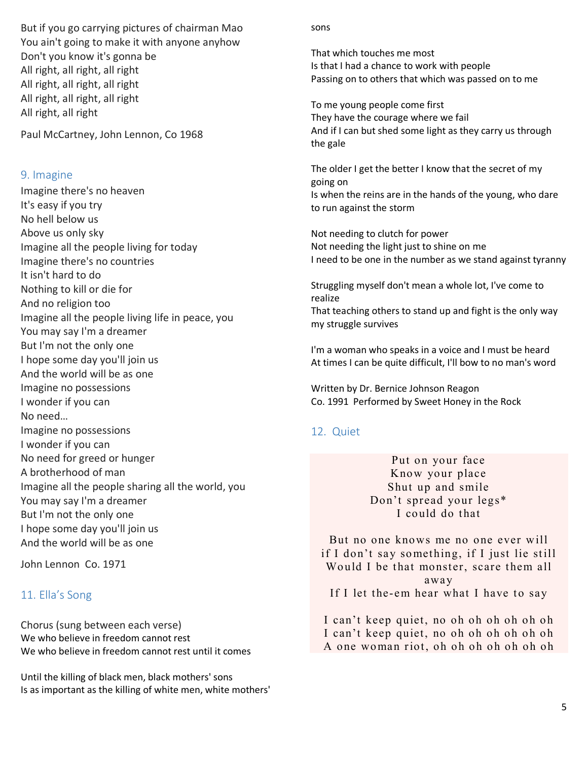But if you go carrying pictures of chairman Mao You ain't going to make it with anyone anyhow Don't you know it's gonna be All right, all right, all right All right, all right, all right All right, all right, all right All right, all right

Paul McCartney, John Lennon, Co 1968

#### 9. Imagine

Imagine there's no heaven It's easy if you try No hell below us Above us only sky Imagine all the people living for today Imagine there's no countries It isn't hard to do Nothing to kill or die for And no religion too Imagine all the people living life in peace, you You may say I'm a dreamer But I'm not the only one I hope some day you'll join us And the world will be as one Imagine no possessions I wonder if you can No need… Imagine no possessions I wonder if you can No need for greed or hunger A brotherhood of man Imagine all the people sharing all the world, you You may say I'm a dreamer But I'm not the only one I hope some day you'll join us And the world will be as one

John Lennon Co. 1971

### 11. Ella's Song

Chorus (sung between each verse) We who believe in freedom cannot rest We who believe in freedom cannot rest until it comes

Until the killing of black men, black mothers' sons Is as important as the killing of white men, white mothers'

#### sons

That which touches me most Is that I had a chance to work with people Passing on to others that which was passed on to me

To me young people come first They have the courage where we fail And if I can but shed some light as they carry us through the gale

The older I get the better I know that the secret of my going on Is when the reins are in the hands of the young, who dare to run against the storm

Not needing to clutch for power Not needing the light just to shine on me I need to be one in the number as we stand against tyranny

Struggling myself don't mean a whole lot, I've come to realize That teaching others to stand up and fight is the only way my struggle survives

I'm a woman who speaks in a voice and I must be heard At times I can be quite difficult, I'll bow to no man's word

Written by Dr. Bernice Johnson Reagon Co. 1991 Performed by Sweet Honey in the Rock

#### 12. Quiet

Put on your face Know your place Shut up and smile Don't spread your legs\* I could do that

But no one knows me no one ever will if I don't say something, if I just lie still Would I be that monster, scare them all away If I let the-em hear what I have to say

I can't keep quiet, no oh oh oh oh oh oh I can't keep quiet, no oh oh oh oh oh oh A one woman riot, oh oh oh oh oh oh oh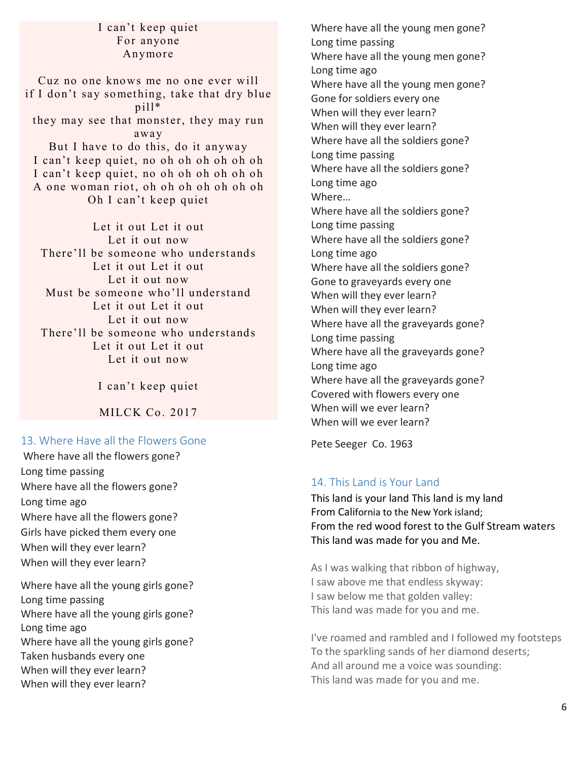#### I can't keep quiet For anyone Anymore

Cuz no one knows me no one ever will if I don't say so mething, take that dry blue pill\* they may see that monster, they may run away But I have to do this, do it anyway I can't keep quiet, no oh oh oh oh oh oh I can't keep quiet, no oh oh oh oh oh oh A one woman riot, oh oh oh oh oh oh oh Oh I can't keep quiet

Let it out Let it out Let it out now There'll be someone who understands Let it out Let it out Let it out now Must be someone who'll understand Let it out Let it out Let it out now There'll be someone who understands Let it out Let it out Let it out now

I can't keep quiet

MILCK Co. 2017

#### 13. Where Have all the Flowers Gone

Where have all the flowers gone? Long time passing Where have all the flowers gone? Long time ago Where have all the flowers gone? Girls have picked them every one When will they ever learn? When will they ever learn?

Where have all the young girls gone? Long time passing Where have all the young girls gone? Long time ago Where have all the young girls gone? Taken husbands every one When will they ever learn? When will they ever learn?

Where have all the young men gone? Long time passing Where have all the young men gone? Long time ago Where have all the young men gone? Gone for soldiers every one When will they ever learn? When will they ever learn? Where have all the soldiers gone? Long time passing Where have all the soldiers gone? Long time ago Where… Where have all the soldiers gone? Long time passing Where have all the soldiers gone? Long time ago Where have all the soldiers gone? Gone to graveyards every one When will they ever learn? When will they ever learn? Where have all the graveyards gone? Long time passing Where have all the graveyards gone? Long time ago Where have all the graveyards gone? Covered with flowers every one When will we ever learn? When will we ever learn?

Pete Seeger Co. 1963

### 14. This Land is Your Land

This land is your land This land is my land From California to the New York island; From the red wood forest to the Gulf Stream waters This land was made for you and Me.

As I was walking that ribbon of highway, I saw above me that endless skyway: I saw below me that golden valley: This land was made for you and me.

I've roamed and rambled and I followed my footsteps To the sparkling sands of her diamond deserts; And all around me a voice was sounding: This land was made for you and me.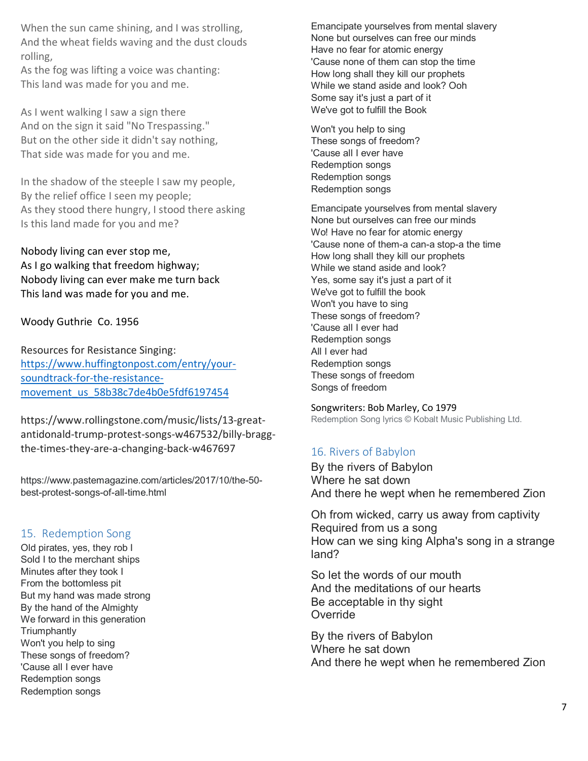When the sun came shining, and I was strolling, And the wheat fields waving and the dust clouds rolling,

As the fog was lifting a voice was chanting: This land was made for you and me.

As I went walking I saw a sign there And on the sign it said "No Trespassing." But on the other side it didn't say nothing, That side was made for you and me.

In the shadow of the steeple I saw my people, By the relief office I seen my people; As they stood there hungry, I stood there asking Is this land made for you and me?

Nobody living can ever stop me, As I go walking that freedom highway; Nobody living can ever make me turn back This land was made for you and me.

Woody Guthrie Co. 1956

Resources for Resistance Singing: https://www.huffingtonpost.com/entry/yoursoundtrack-for-the-resistancemovement\_us\_58b38c7de4b0e5fdf6197454

https://www.rollingstone.com/music/lists/13-greatantidonald-trump-protest-songs-w467532/billy-braggthe-times-they-are-a-changing-back-w467697

https://www.pastemagazine.com/articles/2017/10/the-50 best-protest-songs-of-all-time.html

# 15. Redemption Song

Old pirates, yes, they rob I Sold I to the merchant ships Minutes after they took I From the bottomless pit But my hand was made strong By the hand of the Almighty We forward in this generation **Triumphantly** Won't you help to sing These songs of freedom? 'Cause all I ever have Redemption songs Redemption songs

Emancipate yourselves from mental slavery None but ourselves can free our minds Have no fear for atomic energy 'Cause none of them can stop the time How long shall they kill our prophets While we stand aside and look? Ooh Some say it's just a part of it We've got to fulfill the Book

Won't you help to sing These songs of freedom? 'Cause all I ever have Redemption songs Redemption songs Redemption songs

Emancipate yourselves from mental slavery None but ourselves can free our minds Wo! Have no fear for atomic energy 'Cause none of them-a can-a stop-a the time How long shall they kill our prophets While we stand aside and look? Yes, some say it's just a part of it We've got to fulfill the book Won't you have to sing These songs of freedom? 'Cause all I ever had Redemption songs All I ever had Redemption songs These songs of freedom Songs of freedom

Songwriters: Bob Marley, Co 1979 Redemption Song lyrics © Kobalt Music Publishing Ltd.

## 16. Rivers of Babylon

By the rivers of Babylon Where he sat down And there he wept when he remembered Zion

Oh from wicked, carry us away from captivity Required from us a song How can we sing king Alpha's song in a strange land?

So let the words of our mouth And the meditations of our hearts Be acceptable in thy sight **Override** 

By the rivers of Babylon Where he sat down And there he wept when he remembered Zion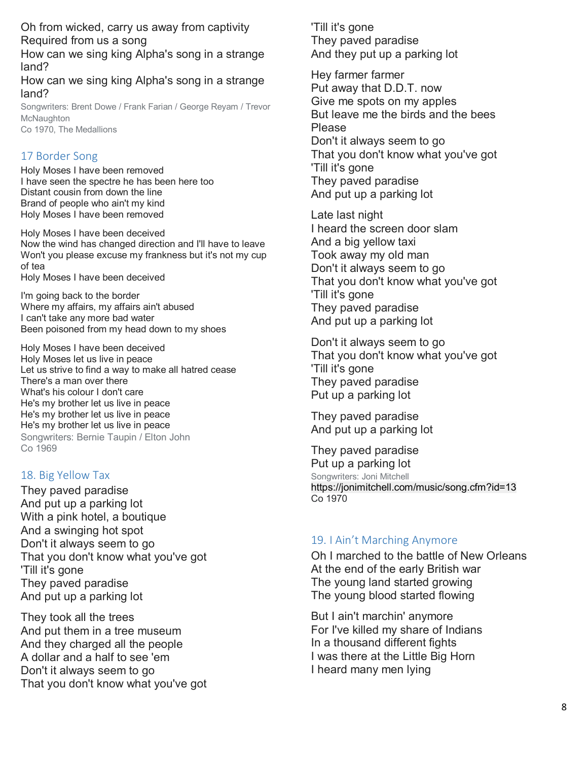Oh from wicked, carry us away from captivity Required from us a song

How can we sing king Alpha's song in a strange land?

#### How can we sing king Alpha's song in a strange land?

Songwriters: Brent Dowe / Frank Farian / George Reyam / Trevor **McNaughton** Co 1970, The Medallions

# 17 Border Song

Holy Moses I have been removed I have seen the spectre he has been here too Distant cousin from down the line Brand of people who ain't my kind Holy Moses I have been removed

Holy Moses I have been deceived Now the wind has changed direction and I'll have to leave Won't you please excuse my frankness but it's not my cup of tea

Holy Moses I have been deceived

I'm going back to the border Where my affairs, my affairs ain't abused I can't take any more bad water Been poisoned from my head down to my shoes

Holy Moses I have been deceived Holy Moses let us live in peace Let us strive to find a way to make all hatred cease There's a man over there What's his colour I don't care He's my brother let us live in peace He's my brother let us live in peace He's my brother let us live in peace Songwriters: Bernie Taupin / Elton John Co 1969

## 18. Big Yellow Tax

They paved paradise And put up a parking lot With a pink hotel, a boutique And a swinging hot spot Don't it always seem to go That you don't know what you've got 'Till it's gone They paved paradise And put up a parking lot

They took all the trees And put them in a tree museum And they charged all the people A dollar and a half to see 'em Don't it always seem to go That you don't know what you've got

'Till it's gone They paved paradise And they put up a parking lot

Hey farmer farmer Put away that D.D.T. now Give me spots on my apples But leave me the birds and the bees Please Don't it always seem to go That you don't know what you've got 'Till it's gone They paved paradise And put up a parking lot

Late last night I heard the screen door slam And a big yellow taxi Took away my old man Don't it always seem to go That you don't know what you've got 'Till it's gone They paved paradise And put up a parking lot

Don't it always seem to go That you don't know what you've got 'Till it's gone They paved paradise Put up a parking lot

They paved paradise And put up a parking lot

They paved paradise Put up a parking lot Songwriters: Joni Mitchell https://jonimitchell.com/music/song.cfm?id=13 Co 1970

## 19. I Ain't Marching Anymore

Oh I marched to the battle of New Orleans At the end of the early British war The young land started growing The young blood started flowing

But I ain't marchin' anymore For I've killed my share of Indians In a thousand different fights I was there at the Little Big Horn I heard many men lying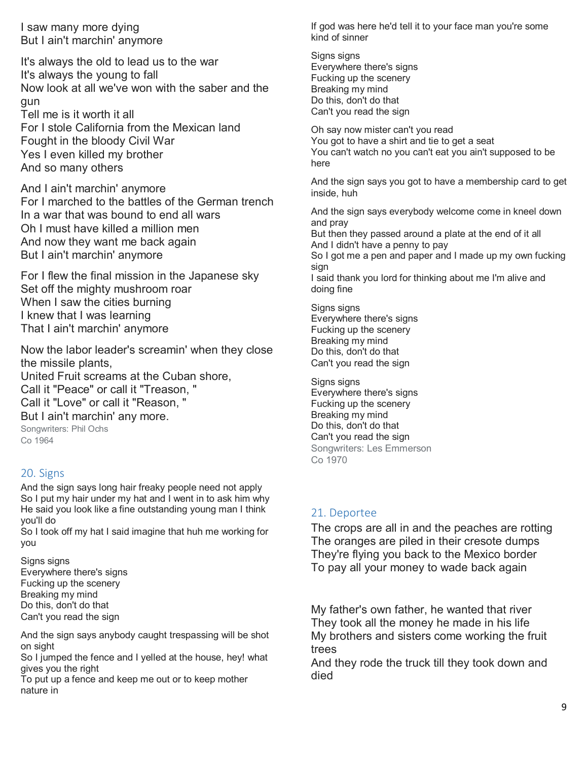I saw many more dying But I ain't marchin' anymore

It's always the old to lead us to the war It's always the young to fall Now look at all we've won with the saber and the gun Tell me is it worth it all For I stole California from the Mexican land Fought in the bloody Civil War Yes I even killed my brother

And so many others

And I ain't marchin' anymore For I marched to the battles of the German trench In a war that was bound to end all wars Oh I must have killed a million men And now they want me back again But I ain't marchin' anymore

For I flew the final mission in the Japanese sky Set off the mighty mushroom roar When I saw the cities burning I knew that I was learning That I ain't marchin' anymore

Now the labor leader's screamin' when they close the missile plants,

United Fruit screams at the Cuban shore, Call it "Peace" or call it "Treason, " Call it "Love" or call it "Reason, " But I ain't marchin' any more. Songwriters: Phil Ochs

Co 1964

## 20. Signs

And the sign says long hair freaky people need not apply So I put my hair under my hat and I went in to ask him why He said you look like a fine outstanding young man I think you'll do

So I took off my hat I said imagine that huh me working for you

Signs signs Everywhere there's signs Fucking up the scenery Breaking my mind Do this, don't do that Can't you read the sign

And the sign says anybody caught trespassing will be shot on sight

So I jumped the fence and I yelled at the house, hey! what gives you the right

To put up a fence and keep me out or to keep mother nature in

If god was here he'd tell it to your face man you're some kind of sinner

Signs signs Everywhere there's signs Fucking up the scenery Breaking my mind Do this, don't do that Can't you read the sign

Oh say now mister can't you read You got to have a shirt and tie to get a seat You can't watch no you can't eat you ain't supposed to be here

And the sign says you got to have a membership card to get inside, huh

And the sign says everybody welcome come in kneel down and pray But then they passed around a plate at the end of it all And I didn't have a penny to pay So I got me a pen and paper and I made up my own fucking sign I said thank you lord for thinking about me I'm alive and doing fine Signs signs

Everywhere there's signs Fucking up the scenery Breaking my mind Do this, don't do that Can't you read the sign

Signs signs Everywhere there's signs Fucking up the scenery Breaking my mind Do this, don't do that Can't you read the sign Songwriters: Les Emmerson Co 1970

## 21. Deportee

The crops are all in and the peaches are rotting The oranges are piled in their cresote dumps They're flying you back to the Mexico border To pay all your money to wade back again

My father's own father, he wanted that river They took all the money he made in his life My brothers and sisters come working the fruit trees

And they rode the truck till they took down and died